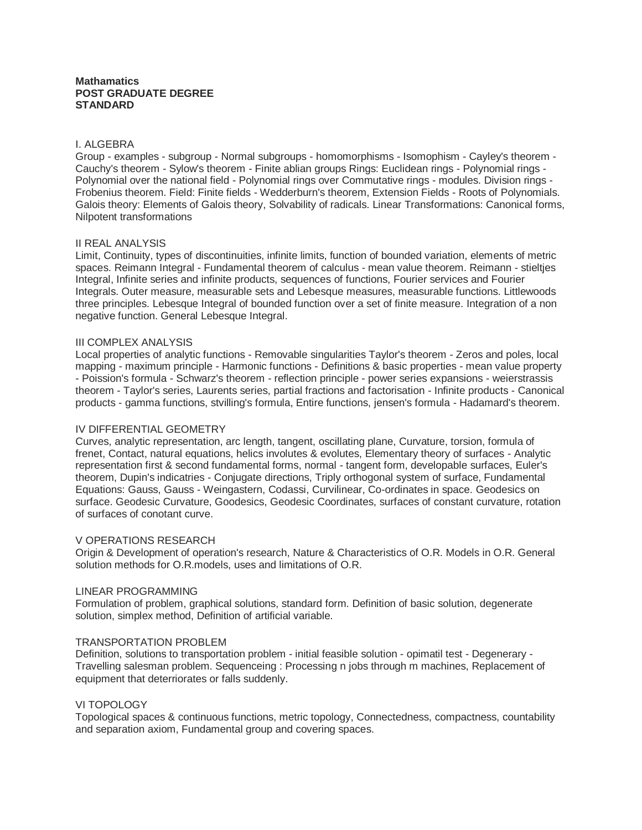# **Mathamatics POST GRADUATE DEGREE STANDARD**

## I. ALGEBRA

Group - examples - subgroup - Normal subgroups - homomorphisms - Isomophism - Cayley's theorem - Cauchy's theorem - Sylow's theorem - Finite ablian groups Rings: Euclidean rings - Polynomial rings - Polynomial over the national field - Polynomial rings over Commutative rings - modules. Division rings - Frobenius theorem. Field: Finite fields - Wedderburn's theorem, Extension Fields - Roots of Polynomials. Galois theory: Elements of Galois theory, Solvability of radicals. Linear Transformations: Canonical forms, Nilpotent transformations

### II REAL ANALYSIS

Limit, Continuity, types of discontinuities, infinite limits, function of bounded variation, elements of metric spaces. Reimann Integral - Fundamental theorem of calculus - mean value theorem. Reimann - stieltjes Integral, Infinite series and infinite products, sequences of functions, Fourier services and Fourier Integrals. Outer measure, measurable sets and Lebesque measures, measurable functions. Littlewoods three principles. Lebesque Integral of bounded function over a set of finite measure. Integration of a non negative function. General Lebesque Integral.

# III COMPLEX ANALYSIS

Local properties of analytic functions - Removable singularities Taylor's theorem - Zeros and poles, local mapping - maximum principle - Harmonic functions - Definitions & basic properties - mean value property - Poission's formula - Schwarz's theorem - reflection principle - power series expansions - weierstrassis theorem - Taylor's series, Laurents series, partial fractions and factorisation - Infinite products - Canonical products - gamma functions, stvilling's formula, Entire functions, jensen's formula - Hadamard's theorem.

# IV DIFFERENTIAL GEOMETRY

Curves, analytic representation, arc length, tangent, oscillating plane, Curvature, torsion, formula of frenet, Contact, natural equations, helics involutes & evolutes, Elementary theory of surfaces - Analytic representation first & second fundamental forms, normal - tangent form, developable surfaces, Euler's theorem, Dupin's indicatries - Conjugate directions, Triply orthogonal system of surface, Fundamental Equations: Gauss, Gauss - Weingastern, Codassi, Curvilinear, Co-ordinates in space. Geodesics on surface. Geodesic Curvature, Goodesics, Geodesic Coordinates, surfaces of constant curvature, rotation of surfaces of conotant curve.

### V OPERATIONS RESEARCH

Origin & Development of operation's research, Nature & Characteristics of O.R. Models in O.R. General solution methods for O.R.models, uses and limitations of O.R.

### LINEAR PROGRAMMING

Formulation of problem, graphical solutions, standard form. Definition of basic solution, degenerate solution, simplex method, Definition of artificial variable.

### TRANSPORTATION PROBLEM

Definition, solutions to transportation problem - initial feasible solution - opimatil test - Degenerary - Travelling salesman problem. Sequenceing : Processing n jobs through m machines, Replacement of equipment that deterriorates or falls suddenly.

### VI TOPOLOGY

Topological spaces & continuous functions, metric topology, Connectedness, compactness, countability and separation axiom, Fundamental group and covering spaces.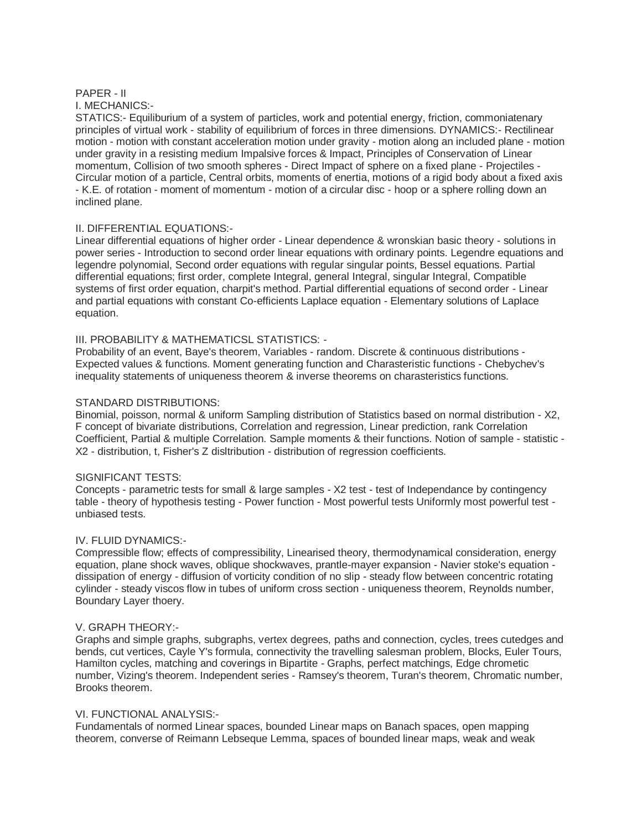# PAPER - II

I. MECHANICS:-

STATICS:- Equiliburium of a system of particles, work and potential energy, friction, commoniatenary principles of virtual work - stability of equilibrium of forces in three dimensions. DYNAMICS:- Rectilinear motion - motion with constant acceleration motion under gravity - motion along an included plane - motion under gravity in a resisting medium Impalsive forces & Impact, Principles of Conservation of Linear momentum, Collision of two smooth spheres - Direct Impact of sphere on a fixed plane - Projectiles - Circular motion of a particle, Central orbits, moments of enertia, motions of a rigid body about a fixed axis - K.E. of rotation - moment of momentum - motion of a circular disc - hoop or a sphere rolling down an inclined plane.

# II. DIFFERENTIAL EQUATIONS:-

Linear differential equations of higher order - Linear dependence & wronskian basic theory - solutions in power series - Introduction to second order linear equations with ordinary points. Legendre equations and legendre polynomial, Second order equations with regular singular points, Bessel equations. Partial differential equations; first order, complete Integral, general Integral, singular Integral, Compatible systems of first order equation, charpit's method. Partial differential equations of second order - Linear and partial equations with constant Co-efficients Laplace equation - Elementary solutions of Laplace equation.

# III. PROBABILITY & MATHEMATICSL STATISTICS: -

Probability of an event, Baye's theorem, Variables - random. Discrete & continuous distributions - Expected values & functions. Moment generating function and Charasteristic functions - Chebychev's inequality statements of uniqueness theorem & inverse theorems on charasteristics functions.

# STANDARD DISTRIBUTIONS:

Binomial, poisson, normal & uniform Sampling distribution of Statistics based on normal distribution - X2, F concept of bivariate distributions, Correlation and regression, Linear prediction, rank Correlation Coefficient, Partial & multiple Correlation. Sample moments & their functions. Notion of sample - statistic - X2 - distribution, t, Fisher's Z disltribution - distribution of regression coefficients.

# SIGNIFICANT TESTS:

Concepts - parametric tests for small & large samples - X2 test - test of Independance by contingency table - theory of hypothesis testing - Power function - Most powerful tests Uniformly most powerful test unbiased tests.

# IV. FLUID DYNAMICS:-

Compressible flow; effects of compressibility, Linearised theory, thermodynamical consideration, energy equation, plane shock waves, oblique shockwaves, prantle-mayer expansion - Navier stoke's equation dissipation of energy - diffusion of vorticity condition of no slip - steady flow between concentric rotating cylinder - steady viscos flow in tubes of uniform cross section - uniqueness theorem, Reynolds number, Boundary Layer thoery.

# V. GRAPH THEORY:-

Graphs and simple graphs, subgraphs, vertex degrees, paths and connection, cycles, trees cutedges and bends, cut vertices, Cayle Y's formula, connectivity the travelling salesman problem, Blocks, Euler Tours, Hamilton cycles, matching and coverings in Bipartite - Graphs, perfect matchings, Edge chrometic number, Vizing's theorem. Independent series - Ramsey's theorem, Turan's theorem, Chromatic number, Brooks theorem.

# VI. FUNCTIONAL ANALYSIS:-

Fundamentals of normed Linear spaces, bounded Linear maps on Banach spaces, open mapping theorem, converse of Reimann Lebseque Lemma, spaces of bounded linear maps, weak and weak